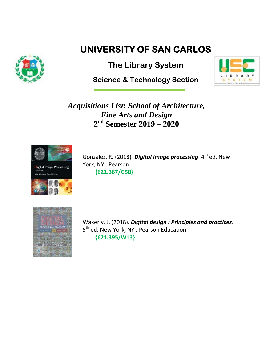

## **UNIVERSITY OF SAN CARLOS**

**The Library System**

**Science & Technology Section** 



*Acquisitions List: School of Architecture, Fine Arts and Design* **2 nd Semester 2019 – 2020**



Gonzalez, R. (2018). **Digital image processing**. 4<sup>th</sup> ed. New York, NY : Pearson.  **{621.367/G58}**



Wakerly, J. (2018). *Digital design : Principles and practices*. 5<sup>th</sup> ed. New York, NY : Pearson Education. **{621.395/W13}**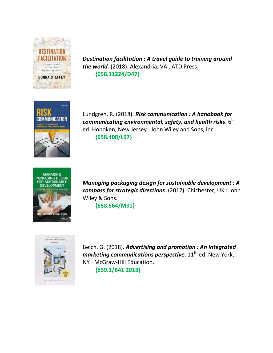

*Destination facilitation : A travel guide to training around the world.* (2018). Alexandria, VA : ATD Press.  **{658.31224/D47}**



Lundgren, R. (2018). *Risk communication : A handbook for*  communicating environmental, safety, and health risks.  $6^{\sf th}$ ed. Hoboken, New Jersey : John Wiley and Sons, Inc.  **{658.408/L97}**



*Managing packaging design for sustainable development : A compass for strategic directions*. (2017). Chichester, UK : John Wiley & Sons.

 **{658.564/M31}**



Belch, G. (2018). *Advertising and promotion : An integrated marketing communications perspective*.  $11<sup>th</sup>$  ed. New York, NY : McGraw-Hill Education.  **{659.1/B41 2018}**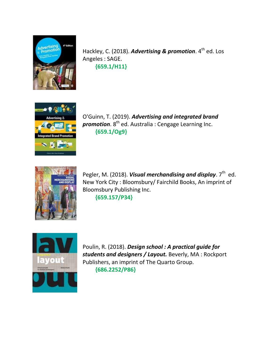

Hackley, C. (2018). Advertising & promotion. 4<sup>th</sup> ed. Los Angeles : SAGE. **{659.1/H11}**



O'Guinn, T. (2019). *Advertising and integrated brand*  **promotion**. 8<sup>th</sup> ed. Australia : Cengage Learning Inc. **{659.1/Og9}**



Pegler, M. (2018). *Visual merchandising and display*. 7<sup>th</sup> ed. New York City : Bloomsbury/ Fairchild Books, An imprint of Bloomsbury Publishing Inc. **{659.157/P34}**



Poulin, R. (2018). *Design school : A practical guide for students and designers / Layout.* Beverly, MA : Rockport Publishers, an imprint of The Quarto Group. **{686.2252/P86}**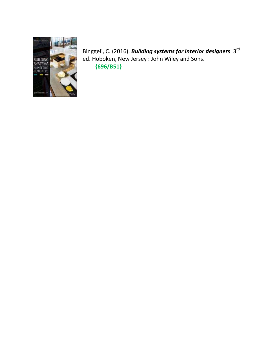

Binggeli, C. (2016). *Building systems for interior designers*. 3<sup>rd</sup> ed. Hoboken, New Jersey : John Wiley and Sons. **{696/B51}**